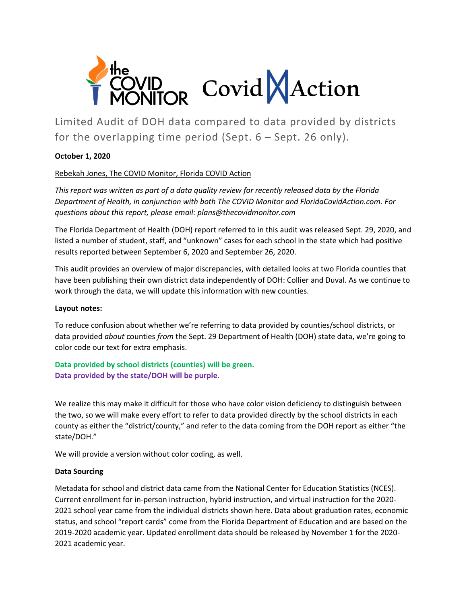

Limited Audit of DOH data compared to data provided by districts for the overlapping time period (Sept. 6 – Sept. 26 only).

#### **October 1, 2020**

### Rebekah Jones, The COVID Monitor, Florida COVID Action

*This report was written as part of a data quality review for recently released data by the Florida Department of Health, in conjunction with both The COVID Monitor and FloridaCovidAction.com. For questions about this report, please email: plans@thecovidmonitor.com*

The Florida Department of Health (DOH) report referred to in this audit was released Sept. 29, 2020, and listed a number of student, staff, and "unknown" cases for each school in the state which had positive results reported between September 6, 2020 and September 26, 2020.

This audit provides an overview of major discrepancies, with detailed looks at two Florida counties that have been publishing their own district data independently of DOH: Collier and Duval. As we continue to work through the data, we will update this information with new counties.

#### **Layout notes:**

To reduce confusion about whether we're referring to data provided by counties/school districts, or data provided *about* counties *from* the Sept. 29 Department of Health (DOH) state data, we're going to color code our text for extra emphasis.

### **Data provided by school districts (counties) will be green. Data provided by the state/DOH will be purple.**

We realize this may make it difficult for those who have color vision deficiency to distinguish between the two, so we will make every effort to refer to data provided directly by the school districts in each county as either the "district/county," and refer to the data coming from the DOH report as either "the state/DOH."

We will provide a version without color coding, as well.

#### **Data Sourcing**

Metadata for school and district data came from the National Center for Education Statistics (NCES). Current enrollment for in-person instruction, hybrid instruction, and virtual instruction for the 2020- 2021 school year came from the individual districts shown here. Data about graduation rates, economic status, and school "report cards" come from the Florida Department of Education and are based on the 2019-2020 academic year. Updated enrollment data should be released by November 1 for the 2020- 2021 academic year.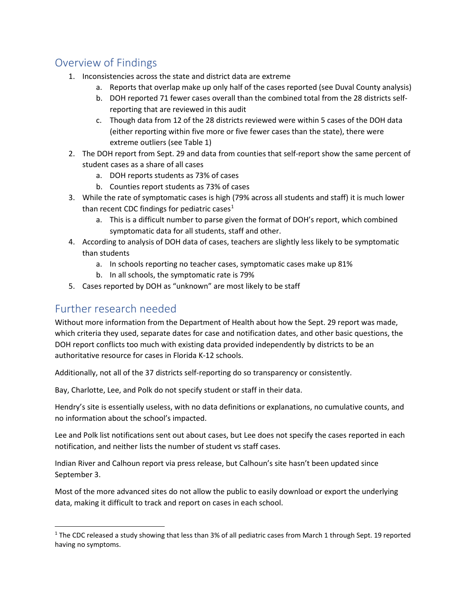# Overview of Findings

- 1. Inconsistencies across the state and district data are extreme
	- a. Reports that overlap make up only half of the cases reported (see Duval County analysis)
	- b. DOH reported 71 fewer cases overall than the combined total from the 28 districts selfreporting that are reviewed in this audit
	- c. Though data from 12 of the 28 districts reviewed were within 5 cases of the DOH data (either reporting within five more or five fewer cases than the state), there were extreme outliers (see Table 1)
- 2. The DOH report from Sept. 29 and data from counties that self-report show the same percent of student cases as a share of all cases
	- a. DOH reports students as 73% of cases
	- b. Counties report students as 73% of cases
- 3. While the rate of symptomatic cases is high (79% across all students and staff) it is much lower than recent CDC findings for pediatric cases<sup>[1](#page-1-0)</sup>
	- a. This is a difficult number to parse given the format of DOH's report, which combined symptomatic data for all students, staff and other.
- 4. According to analysis of DOH data of cases, teachers are slightly less likely to be symptomatic than students
	- a. In schools reporting no teacher cases, symptomatic cases make up 81%
	- b. In all schools, the symptomatic rate is 79%
- 5. Cases reported by DOH as "unknown" are most likely to be staff

# Further research needed

Without more information from the Department of Health about how the Sept. 29 report was made, which criteria they used, separate dates for case and notification dates, and other basic questions, the DOH report conflicts too much with existing data provided independently by districts to be an authoritative resource for cases in Florida K-12 schools.

Additionally, not all of the 37 districts self-reporting do so transparency or consistently.

Bay, Charlotte, Lee, and Polk do not specify student or staff in their data.

Hendry's site is essentially useless, with no data definitions or explanations, no cumulative counts, and no information about the school's impacted.

Lee and Polk list notifications sent out about cases, but Lee does not specify the cases reported in each notification, and neither lists the number of student vs staff cases.

Indian River and Calhoun report via press release, but Calhoun's site hasn't been updated since September 3.

Most of the more advanced sites do not allow the public to easily download or export the underlying data, making it difficult to track and report on cases in each school.

<span id="page-1-0"></span><sup>&</sup>lt;sup>1</sup> The CDC released a study showing that less than 3% of all pediatric cases from March 1 through Sept. 19 reported having no symptoms.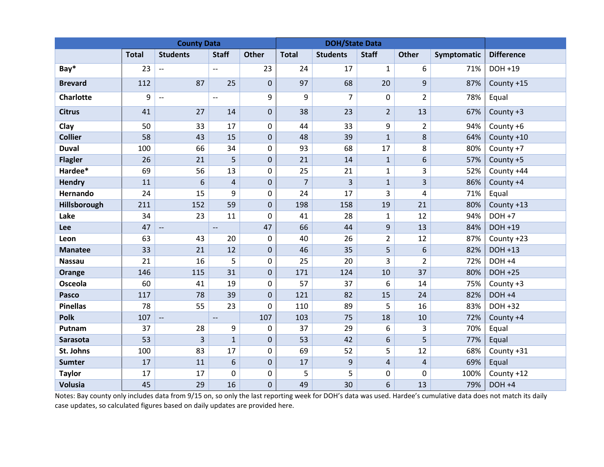|                  | <b>County Data</b> |                          |                          |                  | <b>DOH/State Data</b> |                 |                |                |             |                   |
|------------------|--------------------|--------------------------|--------------------------|------------------|-----------------------|-----------------|----------------|----------------|-------------|-------------------|
|                  | <b>Total</b>       | <b>Students</b>          | <b>Staff</b>             | <b>Other</b>     | <b>Total</b>          | <b>Students</b> | <b>Staff</b>   | <b>Other</b>   | Symptomatic | <b>Difference</b> |
| Bay*             | 23                 | $\overline{\phantom{a}}$ | $\overline{a}$           | 23               | 24                    | 17              | $\mathbf{1}$   | 6              | 71%         | DOH +19           |
| <b>Brevard</b>   | 112                | 87                       | 25                       | $\overline{0}$   | 97                    | 68              | 20             | 9              | 87%         | County +15        |
| <b>Charlotte</b> | 9                  | $\overline{\phantom{a}}$ | $\overline{a}$           | 9                | 9                     | $\overline{7}$  | 0              | $\overline{2}$ | 78%         | Equal             |
| <b>Citrus</b>    | 41                 | 27                       | 14                       | $\mathbf{0}$     | 38                    | 23              | $\overline{2}$ | 13             | 67%         | County +3         |
| Clay             | 50                 | 33                       | 17                       | $\mathbf 0$      | 44                    | 33              | 9              | $\overline{2}$ | 94%         | County +6         |
| <b>Collier</b>   | 58                 | 43                       | 15                       | $\mathbf 0$      | 48                    | 39              | $\mathbf{1}$   | 8              | 64%         | County +10        |
| <b>Duval</b>     | 100                | 66                       | 34                       | 0                | 93                    | 68              | 17             | 8              | 80%         | County +7         |
| <b>Flagler</b>   | 26                 | 21                       | 5                        | $\pmb{0}$        | 21                    | 14              | $\mathbf{1}$   | 6              | 57%         | County +5         |
| Hardee*          | 69                 | 56                       | 13                       | 0                | 25                    | 21              | $\mathbf{1}$   | 3              | 52%         | County +44        |
| Hendry           | 11                 | 6                        | $\overline{4}$           | $\mathbf 0$      | $\overline{7}$        | 3               | $\mathbf{1}$   | 3              | 86%         | County +4         |
| <b>Hernando</b>  | 24                 | 15                       | 9                        | 0                | 24                    | 17              | 3              | 4              | 71%         | Equal             |
| Hillsborough     | 211                | 152                      | 59                       | $\mathbf 0$      | 198                   | 158             | 19             | 21             | 80%         | County +13        |
| Lake             | 34                 | 23                       | 11                       | 0                | 41                    | 28              | $\mathbf{1}$   | 12             | 94%         | <b>DOH +7</b>     |
| Lee              | 47                 | $\overline{\phantom{a}}$ | $\overline{a}$           | 47               | 66                    | 44              | 9              | 13             | 84%         | DOH +19           |
| Leon             | 63                 | 43                       | 20                       | 0                | 40                    | 26              | $\overline{2}$ | 12             | 87%         | County +23        |
| <b>Manatee</b>   | 33                 | 21                       | 12                       | $\mathbf 0$      | 46                    | 35              | 5              | 6              | 82%         | DOH +13           |
| <b>Nassau</b>    | 21                 | 16                       | 5                        | 0                | 25                    | 20              | 3              | $\overline{2}$ | 72%         | DOH +4            |
| Orange           | 146                | 115                      | 31                       | $\boldsymbol{0}$ | 171                   | 124             | 10             | 37             | 80%         | <b>DOH +25</b>    |
| Osceola          | 60                 | 41                       | 19                       | 0                | 57                    | 37              | 6              | 14             | 75%         | County +3         |
| <b>Pasco</b>     | 117                | 78                       | 39                       | $\mathbf 0$      | 121                   | 82              | 15             | 24             | 82%         | DOH +4            |
| <b>Pinellas</b>  | 78                 | 55                       | 23                       | 0                | 110                   | 89              | 5              | 16             | 83%         | DOH +32           |
| <b>Polk</b>      | 107                | $\overline{\phantom{a}}$ | $\overline{\phantom{a}}$ | 107              | 103                   | 75              | 18             | 10             | 72%         | County +4         |
| Putnam           | 37                 | 28                       | 9                        | 0                | 37                    | 29              | 6              | 3              | 70%         | Equal             |
| Sarasota         | 53                 | $\overline{3}$           | $\mathbf{1}$             | $\mathbf 0$      | 53                    | 42              | 6              | 5              | 77%         | Equal             |
| St. Johns        | 100                | 83                       | 17                       | 0                | 69                    | 52              | 5              | 12             | 68%         | County +31        |
| <b>Sumter</b>    | 17                 | 11                       | 6                        | $\pmb{0}$        | 17                    | 9               | $\sqrt{4}$     | 4              | 69%         | Equal             |
| <b>Taylor</b>    | 17                 | 17                       | 0                        | 0                | 5                     | 5               | 0              | 0              | 100%        | County +12        |
| Volusia          | 45                 | 29                       | 16                       | $\mathbf 0$      | 49                    | 30              | 6              | 13             | 79%         | $DOH +4$          |

Notes: Bay county only includes data from 9/15 on, so only the last reporting week for DOH's data was used. Hardee's cumulative data does not match its daily case updates, so calculated figures based on daily updates are provided here.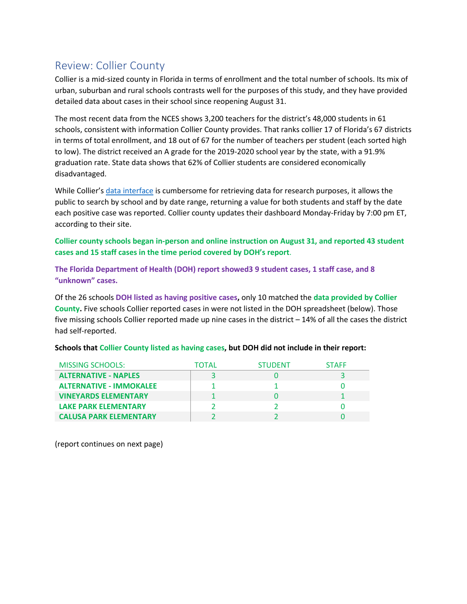# Review: Collier County

Collier is a mid-sized county in Florida in terms of enrollment and the total number of schools. Its mix of urban, suburban and rural schools contrasts well for the purposes of this study, and they have provided detailed data about cases in their school since reopening August 31.

The most recent data from the NCES shows 3,200 teachers for the district's 48,000 students in 61 schools, consistent with information Collier County provides. That ranks collier 17 of Florida's 67 districts in terms of total enrollment, and 18 out of 67 for the number of teachers per student (each sorted high to low). The district received an A grade for the 2019-2020 school year by the state, with a 91.9% graduation rate. State data shows that 62% of Collier students are considered economically disadvantaged.

While Collier'[s data interface](https://data.collierschools.com/StrategicPlan/Covid19/Covid19ver2.aspx) is cumbersome for retrieving data for research purposes, it allows the public to search by school and by date range, returning a value for both students and staff by the date each positive case was reported. Collier county updates their dashboard Monday-Friday by 7:00 pm ET, according to their site.

**Collier county schools began in-person and online instruction on August 31, and reported 43 student cases and 15 staff cases in the time period covered by DOH's report**.

**The Florida Department of Health (DOH) report showed3 9 student cases, 1 staff case, and 8 "unknown" cases.**

Of the 26 schools **DOH listed as having positive cases,** only 10 matched the **data provided by Collier County.** Five schools Collier reported cases in were not listed in the DOH spreadsheet (below). Those five missing schools Collier reported made up nine cases in the district – 14% of all the cases the district had self-reported.

| <b>MISSING SCHOOLS:</b>        | TOTAL | <b>STUDENT</b> | <b>STAFF</b> |
|--------------------------------|-------|----------------|--------------|
| <b>ALTERNATIVE - NAPLES</b>    |       |                |              |
| <b>ALTERNATIVE - IMMOKALEE</b> |       |                |              |
| <b>VINEYARDS ELEMENTARY</b>    |       |                |              |
| <b>LAKE PARK ELEMENTARY</b>    |       |                |              |
| <b>CALUSA PARK ELEMENTARY</b>  |       |                |              |

#### **Schools that Collier County listed as having cases, but DOH did not include in their report:**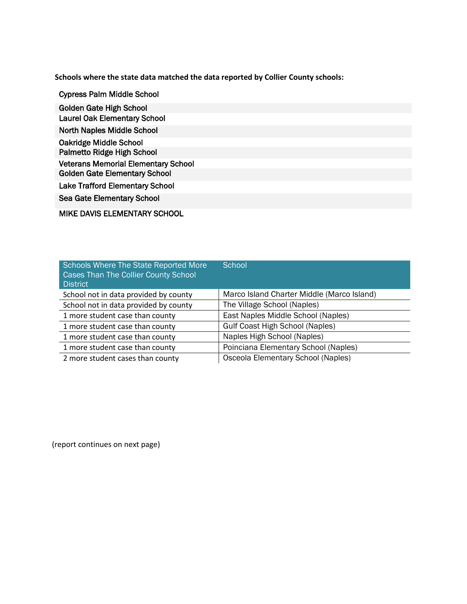**Schools where the state data matched the data reported by Collier County schools:**

Cypress Palm Middle School Golden Gate High School Laurel Oak Elementary School North Naples Middle School Oakridge Middle School Palmetto Ridge High School Veterans Memorial Elementary School Golden Gate Elementary School Lake Trafford Elementary School Sea Gate Elementary School

MIKE DAVIS ELEMENTARY SCHOOL

| <b>Schools Where The State Reported More</b><br><b>Cases Than The Collier County School</b><br><b>District</b> | School                                     |
|----------------------------------------------------------------------------------------------------------------|--------------------------------------------|
| School not in data provided by county                                                                          | Marco Island Charter Middle (Marco Island) |
| School not in data provided by county                                                                          | The Village School (Naples)                |
| 1 more student case than county                                                                                | East Naples Middle School (Naples)         |
| 1 more student case than county                                                                                | <b>Gulf Coast High School (Naples)</b>     |
| 1 more student case than county                                                                                | Naples High School (Naples)                |
| 1 more student case than county                                                                                | Poinciana Elementary School (Naples)       |
| 2 more student cases than county                                                                               | Osceola Elementary School (Naples)         |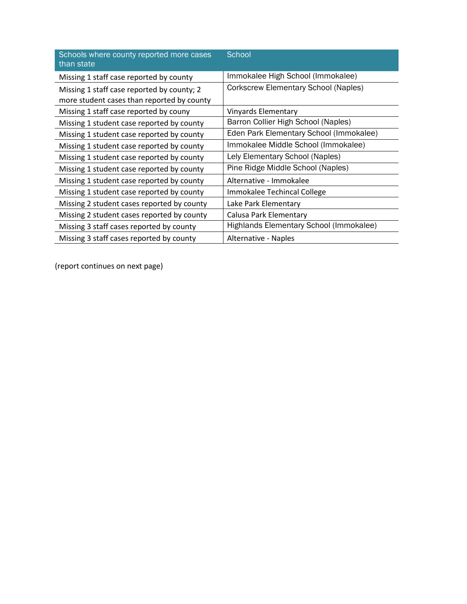| Schools where county reported more cases<br>than state                                   | School                                      |
|------------------------------------------------------------------------------------------|---------------------------------------------|
| Missing 1 staff case reported by county                                                  | Immokalee High School (Immokalee)           |
| Missing 1 staff case reported by county; 2<br>more student cases than reported by county | <b>Corkscrew Elementary School (Naples)</b> |
| Missing 1 staff case reported by couny                                                   | Vinyards Elementary                         |
| Missing 1 student case reported by county                                                | Barron Collier High School (Naples)         |
| Missing 1 student case reported by county                                                | Eden Park Elementary School (Immokalee)     |
| Missing 1 student case reported by county                                                | Immokalee Middle School (Immokalee)         |
| Missing 1 student case reported by county                                                | Lely Elementary School (Naples)             |
| Missing 1 student case reported by county                                                | Pine Ridge Middle School (Naples)           |
| Missing 1 student case reported by county                                                | Alternative - Immokalee                     |
| Missing 1 student case reported by county                                                | Immokalee Techincal College                 |
| Missing 2 student cases reported by county                                               | Lake Park Elementary                        |
| Missing 2 student cases reported by county                                               | Calusa Park Elementary                      |
| Missing 3 staff cases reported by county                                                 | Highlands Elementary School (Immokalee)     |
| Missing 3 staff cases reported by county                                                 | Alternative - Naples                        |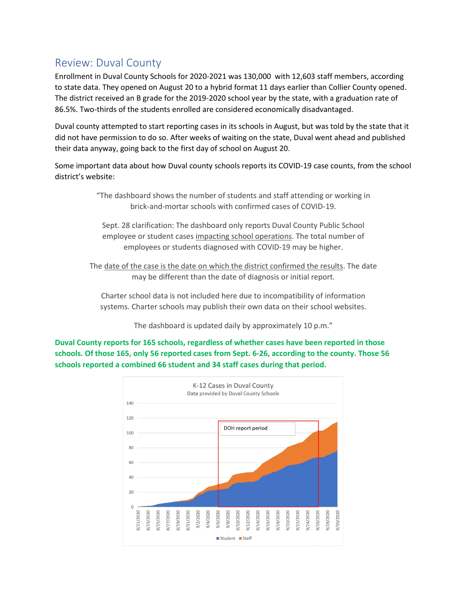### Review: Duval County

Enrollment in Duval County Schools for 2020-2021 was 130,000 with 12,603 staff members, according to state data. They opened on August 20 to a hybrid format 11 days earlier than Collier County opened. The district received an B grade for the 2019-2020 school year by the state, with a graduation rate of 86.5%. Two-thirds of the students enrolled are considered economically disadvantaged.

Duval county attempted to start reporting cases in its schools in August, but was told by the state that it did not have permission to do so. After weeks of waiting on the state, Duval went ahead and published their data anyway, going back to the first day of school on August 20.

Some important data about how Duval county schools reports its COVID-19 case counts, from the school district's website:

> "The dashboard shows the number of students and staff attending or working in brick-and-mortar schools with confirmed cases of COVID-19.

Sept. 28 clarification: The dashboard only reports Duval County Public School employee or student cases impacting school operations. The total number of employees or students diagnosed with COVID-19 may be higher.

The date of the case is the date on which the district confirmed the results. The date may be different than the date of diagnosis or initial report.

Charter school data is not included here due to incompatibility of information systems. Charter schools may publish their own data on their school websites.

The dashboard is updated daily by approximately 10 p.m."

**Duval County reports for 165 schools, regardless of whether cases have been reported in those schools. Of those 165, only 56 reported cases from Sept. 6-26, according to the county. Those 56 schools reported a combined 66 student and 34 staff cases during that period.** 

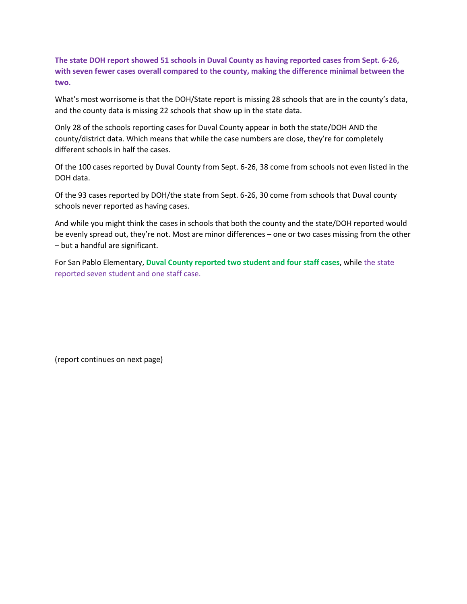**The state DOH report showed 51 schools in Duval County as having reported cases from Sept. 6-26, with seven fewer cases overall compared to the county, making the difference minimal between the two.**

What's most worrisome is that the DOH/State report is missing 28 schools that are in the county's data, and the county data is missing 22 schools that show up in the state data.

Only 28 of the schools reporting cases for Duval County appear in both the state/DOH AND the county/district data. Which means that while the case numbers are close, they're for completely different schools in half the cases.

Of the 100 cases reported by Duval County from Sept. 6-26, 38 come from schools not even listed in the DOH data.

Of the 93 cases reported by DOH/the state from Sept. 6-26, 30 come from schools that Duval county schools never reported as having cases.

And while you might think the cases in schools that both the county and the state/DOH reported would be evenly spread out, they're not. Most are minor differences – one or two cases missing from the other – but a handful are significant.

For San Pablo Elementary, **Duval County reported two student and four staff cases**, while the state reported seven student and one staff case.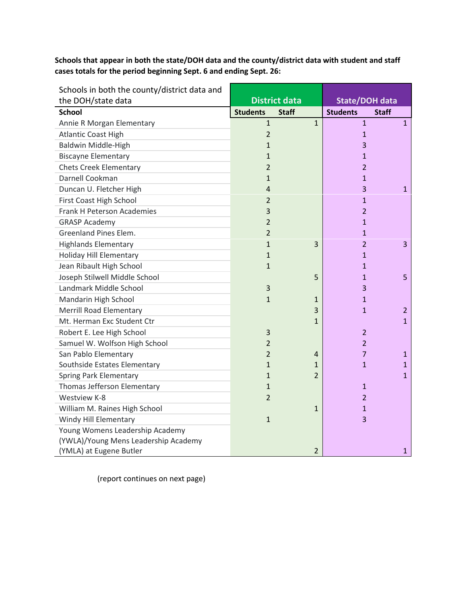**Schools that appear in both the state/DOH data and the county/district data with student and staff cases totals for the period beginning Sept. 6 and ending Sept. 26:**

| Schools in both the county/district data and |                 |                      |                |                       |                |
|----------------------------------------------|-----------------|----------------------|----------------|-----------------------|----------------|
| the DOH/state data                           |                 | <b>District data</b> |                | <b>State/DOH data</b> |                |
| <b>School</b>                                | <b>Students</b> | <b>Staff</b>         |                | <b>Students</b>       | <b>Staff</b>   |
| Annie R Morgan Elementary                    | $\mathbf{1}$    |                      | $\mathbf{1}$   | $\mathbf{1}$          | $\mathbf{1}$   |
| <b>Atlantic Coast High</b>                   | $\overline{2}$  |                      |                | $\mathbf{1}$          |                |
| Baldwin Middle-High                          | $\mathbf{1}$    |                      |                | 3                     |                |
| <b>Biscayne Elementary</b>                   | 1               |                      |                | 1                     |                |
| <b>Chets Creek Elementary</b>                | $\overline{2}$  |                      |                | $\overline{2}$        |                |
| Darnell Cookman                              | $\mathbf{1}$    |                      |                | $\mathbf{1}$          |                |
| Duncan U. Fletcher High                      | 4               |                      |                | 3                     | 1              |
| First Coast High School                      | 2               |                      |                | $\mathbf{1}$          |                |
| <b>Frank H Peterson Academies</b>            | 3               |                      |                | $\overline{2}$        |                |
| <b>GRASP Academy</b>                         | $\overline{2}$  |                      |                | $\mathbf{1}$          |                |
| Greenland Pines Elem.                        | $\overline{2}$  |                      |                | $\mathbf{1}$          |                |
| <b>Highlands Elementary</b>                  | $\mathbf{1}$    |                      | 3              | $\overline{2}$        | 3              |
| <b>Holiday Hill Elementary</b>               | $\mathbf{1}$    |                      |                | $\mathbf{1}$          |                |
| Jean Ribault High School                     | $\mathbf{1}$    |                      |                | $\mathbf{1}$          |                |
| Joseph Stilwell Middle School                |                 |                      | 5              | $\mathbf{1}$          | 5              |
| Landmark Middle School                       | 3               |                      |                | 3                     |                |
| Mandarin High School                         | $\mathbf{1}$    |                      | 1              | $\mathbf{1}$          |                |
| <b>Merrill Road Elementary</b>               |                 |                      | 3              | $\mathbf{1}$          | $\overline{2}$ |
| Mt. Herman Exc Student Ctr                   |                 |                      | $\mathbf{1}$   |                       | $\mathbf{1}$   |
| Robert E. Lee High School                    | 3               |                      |                | $\overline{2}$        |                |
| Samuel W. Wolfson High School                | 2               |                      |                | $\overline{2}$        |                |
| San Pablo Elementary                         | $\overline{2}$  |                      | 4              | 7                     | 1              |
| Southside Estates Elementary                 | $\mathbf{1}$    |                      | 1              | $\mathbf{1}$          | 1              |
| <b>Spring Park Elementary</b>                | $\mathbf{1}$    |                      | $\overline{2}$ |                       | $\mathbf{1}$   |
| Thomas Jefferson Elementary                  | $\mathbf{1}$    |                      |                | $\mathbf{1}$          |                |
| Westview K-8                                 | $\overline{2}$  |                      |                | $\overline{2}$        |                |
| William M. Raines High School                |                 |                      | $\mathbf{1}$   | $\mathbf{1}$          |                |
| Windy Hill Elementary                        | $\mathbf{1}$    |                      |                | $\overline{3}$        |                |
| Young Womens Leadership Academy              |                 |                      |                |                       |                |
| (YWLA)/Young Mens Leadership Academy         |                 |                      |                |                       |                |
| (YMLA) at Eugene Butler                      |                 |                      | $\overline{2}$ |                       | 1              |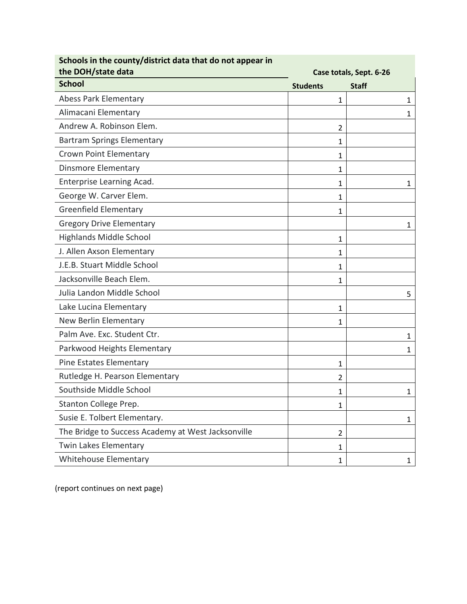| Schools in the county/district data that do not appear in<br>the DOH/state data | Case totals, Sept. 6-26 |              |  |  |  |
|---------------------------------------------------------------------------------|-------------------------|--------------|--|--|--|
| <b>School</b>                                                                   | <b>Students</b>         | <b>Staff</b> |  |  |  |
| <b>Abess Park Elementary</b>                                                    | 1                       | 1            |  |  |  |
| Alimacani Elementary                                                            |                         | $\mathbf{1}$ |  |  |  |
| Andrew A. Robinson Elem.                                                        | $\overline{2}$          |              |  |  |  |
| <b>Bartram Springs Elementary</b>                                               | 1                       |              |  |  |  |
| <b>Crown Point Elementary</b>                                                   | 1                       |              |  |  |  |
| <b>Dinsmore Elementary</b>                                                      | 1                       |              |  |  |  |
| Enterprise Learning Acad.                                                       | 1                       | 1            |  |  |  |
| George W. Carver Elem.                                                          | 1                       |              |  |  |  |
| <b>Greenfield Elementary</b>                                                    | 1                       |              |  |  |  |
| <b>Gregory Drive Elementary</b>                                                 |                         | 1            |  |  |  |
| <b>Highlands Middle School</b>                                                  | 1                       |              |  |  |  |
| J. Allen Axson Elementary                                                       | 1                       |              |  |  |  |
| J.E.B. Stuart Middle School                                                     | 1                       |              |  |  |  |
| Jacksonville Beach Elem.                                                        | 1                       |              |  |  |  |
| Julia Landon Middle School                                                      |                         | 5            |  |  |  |
| Lake Lucina Elementary                                                          | 1                       |              |  |  |  |
| New Berlin Elementary                                                           | 1                       |              |  |  |  |
| Palm Ave. Exc. Student Ctr.                                                     |                         | 1            |  |  |  |
| Parkwood Heights Elementary                                                     |                         | 1            |  |  |  |
| Pine Estates Elementary                                                         | 1                       |              |  |  |  |
| Rutledge H. Pearson Elementary                                                  | 2                       |              |  |  |  |
| Southside Middle School                                                         | 1                       | 1            |  |  |  |
| Stanton College Prep.                                                           | 1                       |              |  |  |  |
| Susie E. Tolbert Elementary.                                                    |                         | 1            |  |  |  |
| The Bridge to Success Academy at West Jacksonville                              | 2                       |              |  |  |  |
| Twin Lakes Elementary                                                           | 1                       |              |  |  |  |
| Whitehouse Elementary                                                           | 1                       | 1            |  |  |  |